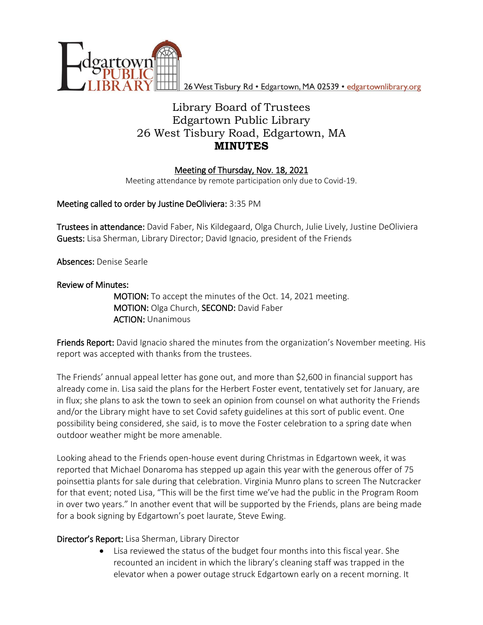

26 West Tisbury Rd · Edgartown, MA 02539 · edgartownlibrary.org

# Library Board of Trustees Edgartown Public Library 26 West Tisbury Road, Edgartown, MA **MINUTES**

# Meeting of Thursday, Nov. 18, 2021

Meeting attendance by remote participation only due to Covid-19.

# Meeting called to order by Justine DeOliviera: 3:35 PM

Trustees in attendance: David Faber, Nis Kildegaard, Olga Church, Julie Lively, Justine DeOliviera Guests: Lisa Sherman, Library Director; David Ignacio, president of the Friends

Absences: Denise Searle

# Review of Minutes:

MOTION: To accept the minutes of the Oct. 14, 2021 meeting. MOTION: Olga Church, SECOND: David Faber ACTION: Unanimous

Friends Report: David Ignacio shared the minutes from the organization's November meeting. His report was accepted with thanks from the trustees.

The Friends' annual appeal letter has gone out, and more than \$2,600 in financial support has already come in. Lisa said the plans for the Herbert Foster event, tentatively set for January, are in flux; she plans to ask the town to seek an opinion from counsel on what authority the Friends and/or the Library might have to set Covid safety guidelines at this sort of public event. One possibility being considered, she said, is to move the Foster celebration to a spring date when outdoor weather might be more amenable.

Looking ahead to the Friends open-house event during Christmas in Edgartown week, it was reported that Michael Donaroma has stepped up again this year with the generous offer of 75 poinsettia plants for sale during that celebration. Virginia Munro plans to screen The Nutcracker for that event; noted Lisa, "This will be the first time we've had the public in the Program Room in over two years." In another event that will be supported by the Friends, plans are being made for a book signing by Edgartown's poet laurate, Steve Ewing.

# Director's Report: Lisa Sherman, Library Director

 Lisa reviewed the status of the budget four months into this fiscal year. She recounted an incident in which the library's cleaning staff was trapped in the elevator when a power outage struck Edgartown early on a recent morning. It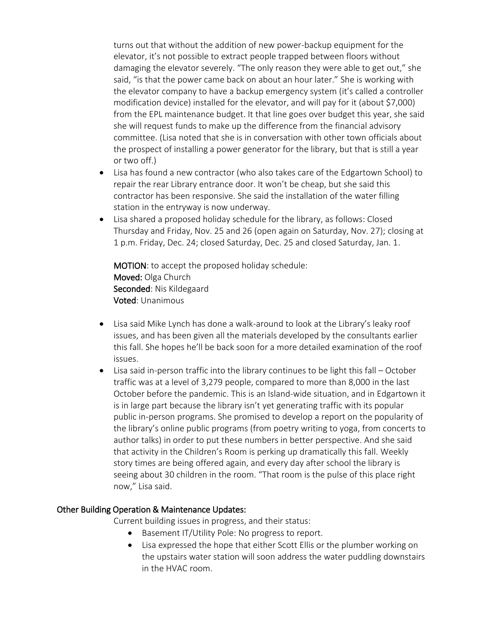turns out that without the addition of new power-backup equipment for the elevator, it's not possible to extract people trapped between floors without damaging the elevator severely. "The only reason they were able to get out," she said, "is that the power came back on about an hour later." She is working with the elevator company to have a backup emergency system (it's called a controller modification device) installed for the elevator, and will pay for it (about \$7,000) from the EPL maintenance budget. It that line goes over budget this year, she said she will request funds to make up the difference from the financial advisory committee. (Lisa noted that she is in conversation with other town officials about the prospect of installing a power generator for the library, but that is still a year or two off.)

- Lisa has found a new contractor (who also takes care of the Edgartown School) to repair the rear Library entrance door. It won't be cheap, but she said this contractor has been responsive. She said the installation of the water filling station in the entryway is now underway.
- Lisa shared a proposed holiday schedule for the library, as follows: Closed Thursday and Friday, Nov. 25 and 26 (open again on Saturday, Nov. 27); closing at 1 p.m. Friday, Dec. 24; closed Saturday, Dec. 25 and closed Saturday, Jan. 1.

MOTION: to accept the proposed holiday schedule: Moved: Olga Church Seconded: Nis Kildegaard Voted: Unanimous

- Lisa said Mike Lynch has done a walk-around to look at the Library's leaky roof issues, and has been given all the materials developed by the consultants earlier this fall. She hopes he'll be back soon for a more detailed examination of the roof issues.
- Lisa said in-person traffic into the library continues to be light this fall October traffic was at a level of 3,279 people, compared to more than 8,000 in the last October before the pandemic. This is an Island-wide situation, and in Edgartown it is in large part because the library isn't yet generating traffic with its popular public in-person programs. She promised to develop a report on the popularity of the library's online public programs (from poetry writing to yoga, from concerts to author talks) in order to put these numbers in better perspective. And she said that activity in the Children's Room is perking up dramatically this fall. Weekly story times are being offered again, and every day after school the library is seeing about 30 children in the room. "That room is the pulse of this place right now," Lisa said.

#### Other Building Operation & Maintenance Updates:

Current building issues in progress, and their status:

- Basement IT/Utility Pole: No progress to report.
- Lisa expressed the hope that either Scott Ellis or the plumber working on the upstairs water station will soon address the water puddling downstairs in the HVAC room.